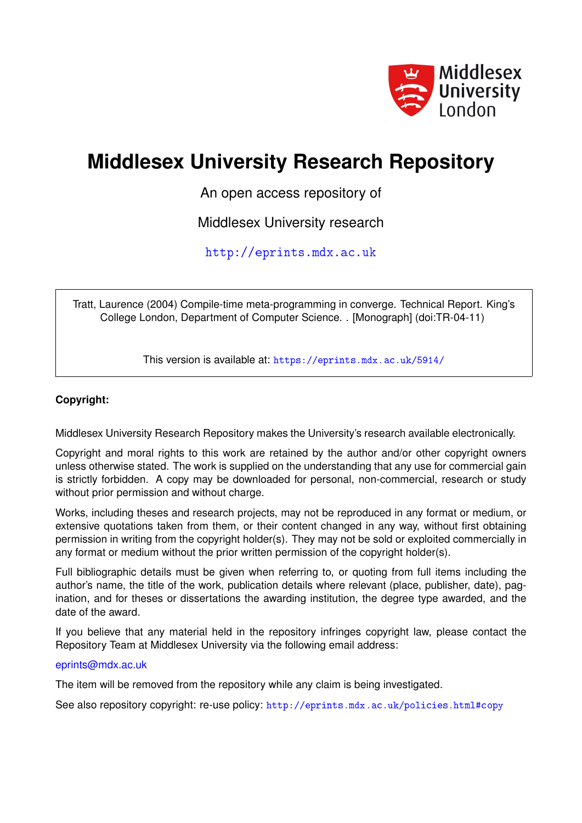

# **Middlesex University Research Repository**

An open access repository of

Middlesex University research

<http://eprints.mdx.ac.uk>

Tratt, Laurence (2004) Compile-time meta-programming in converge. Technical Report. King's College London, Department of Computer Science. . [Monograph] (doi:TR-04-11)

This version is available at: <https://eprints.mdx.ac.uk/5914/>

# **Copyright:**

Middlesex University Research Repository makes the University's research available electronically.

Copyright and moral rights to this work are retained by the author and/or other copyright owners unless otherwise stated. The work is supplied on the understanding that any use for commercial gain is strictly forbidden. A copy may be downloaded for personal, non-commercial, research or study without prior permission and without charge.

Works, including theses and research projects, may not be reproduced in any format or medium, or extensive quotations taken from them, or their content changed in any way, without first obtaining permission in writing from the copyright holder(s). They may not be sold or exploited commercially in any format or medium without the prior written permission of the copyright holder(s).

Full bibliographic details must be given when referring to, or quoting from full items including the author's name, the title of the work, publication details where relevant (place, publisher, date), pagination, and for theses or dissertations the awarding institution, the degree type awarded, and the date of the award.

If you believe that any material held in the repository infringes copyright law, please contact the Repository Team at Middlesex University via the following email address:

# [eprints@mdx.ac.uk](mailto:eprints@mdx.ac.uk)

The item will be removed from the repository while any claim is being investigated.

See also repository copyright: re-use policy: <http://eprints.mdx.ac.uk/policies.html#copy>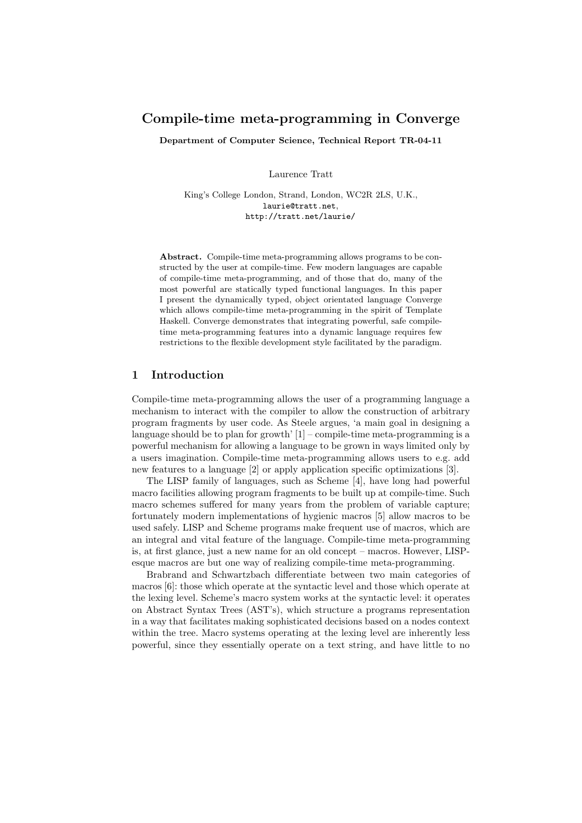# Compile-time meta-programming in Converge

Department of Computer Science, Technical Report TR-04-11

Laurence Tratt

King's College London, Strand, London, WC2R 2LS, U.K., laurie@tratt.net, http://tratt.net/laurie/

Abstract. Compile-time meta-programming allows programs to be constructed by the user at compile-time. Few modern languages are capable of compile-time meta-programming, and of those that do, many of the most powerful are statically typed functional languages. In this paper I present the dynamically typed, object orientated language Converge which allows compile-time meta-programming in the spirit of Template Haskell. Converge demonstrates that integrating powerful, safe compiletime meta-programming features into a dynamic language requires few restrictions to the flexible development style facilitated by the paradigm.

# 1 Introduction

Compile-time meta-programming allows the user of a programming language a mechanism to interact with the compiler to allow the construction of arbitrary program fragments by user code. As Steele argues, 'a main goal in designing a language should be to plan for growth'  $[1]$  – compile-time meta-programming is a powerful mechanism for allowing a language to be grown in ways limited only by a users imagination. Compile-time meta-programming allows users to e.g. add new features to a language [2] or apply application specific optimizations [3].

The LISP family of languages, such as Scheme [4], have long had powerful macro facilities allowing program fragments to be built up at compile-time. Such macro schemes suffered for many years from the problem of variable capture; fortunately modern implementations of hygienic macros [5] allow macros to be used safely. LISP and Scheme programs make frequent use of macros, which are an integral and vital feature of the language. Compile-time meta-programming is, at first glance, just a new name for an old concept – macros. However, LISPesque macros are but one way of realizing compile-time meta-programming.

Brabrand and Schwartzbach differentiate between two main categories of macros [6]: those which operate at the syntactic level and those which operate at the lexing level. Scheme's macro system works at the syntactic level: it operates on Abstract Syntax Trees (AST's), which structure a programs representation in a way that facilitates making sophisticated decisions based on a nodes context within the tree. Macro systems operating at the lexing level are inherently less powerful, since they essentially operate on a text string, and have little to no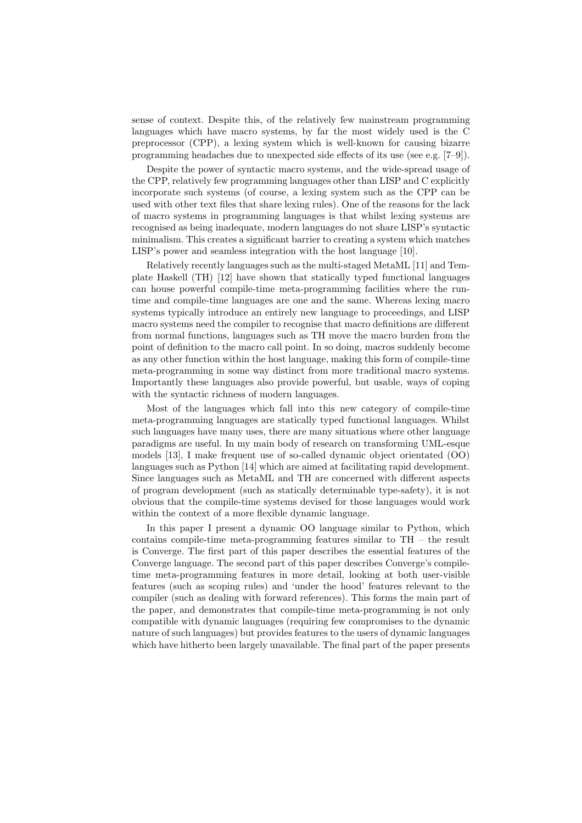sense of context. Despite this, of the relatively few mainstream programming languages which have macro systems, by far the most widely used is the C preprocessor (CPP), a lexing system which is well-known for causing bizarre programming headaches due to unexpected side effects of its use (see e.g. [7–9]).

Despite the power of syntactic macro systems, and the wide-spread usage of the CPP, relatively few programming languages other than LISP and C explicitly incorporate such systems (of course, a lexing system such as the CPP can be used with other text files that share lexing rules). One of the reasons for the lack of macro systems in programming languages is that whilst lexing systems are recognised as being inadequate, modern languages do not share LISP's syntactic minimalism. This creates a significant barrier to creating a system which matches LISP's power and seamless integration with the host language [10].

Relatively recently languages such as the multi-staged MetaML [11] and Template Haskell (TH) [12] have shown that statically typed functional languages can house powerful compile-time meta-programming facilities where the runtime and compile-time languages are one and the same. Whereas lexing macro systems typically introduce an entirely new language to proceedings, and LISP macro systems need the compiler to recognise that macro definitions are different from normal functions, languages such as TH move the macro burden from the point of definition to the macro call point. In so doing, macros suddenly become as any other function within the host language, making this form of compile-time meta-programming in some way distinct from more traditional macro systems. Importantly these languages also provide powerful, but usable, ways of coping with the syntactic richness of modern languages.

Most of the languages which fall into this new category of compile-time meta-programming languages are statically typed functional languages. Whilst such languages have many uses, there are many situations where other language paradigms are useful. In my main body of research on transforming UML-esque models [13], I make frequent use of so-called dynamic object orientated (OO) languages such as Python [14] which are aimed at facilitating rapid development. Since languages such as MetaML and TH are concerned with different aspects of program development (such as statically determinable type-safety), it is not obvious that the compile-time systems devised for those languages would work within the context of a more flexible dynamic language.

In this paper I present a dynamic OO language similar to Python, which contains compile-time meta-programming features similar to TH – the result is Converge. The first part of this paper describes the essential features of the Converge language. The second part of this paper describes Converge's compiletime meta-programming features in more detail, looking at both user-visible features (such as scoping rules) and 'under the hood' features relevant to the compiler (such as dealing with forward references). This forms the main part of the paper, and demonstrates that compile-time meta-programming is not only compatible with dynamic languages (requiring few compromises to the dynamic nature of such languages) but provides features to the users of dynamic languages which have hitherto been largely unavailable. The final part of the paper presents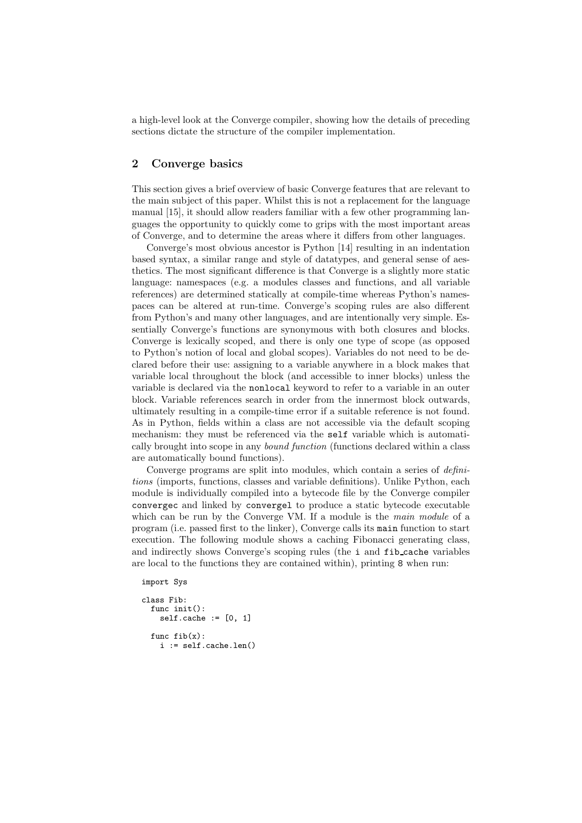a high-level look at the Converge compiler, showing how the details of preceding sections dictate the structure of the compiler implementation.

# 2 Converge basics

This section gives a brief overview of basic Converge features that are relevant to the main subject of this paper. Whilst this is not a replacement for the language manual [15], it should allow readers familiar with a few other programming languages the opportunity to quickly come to grips with the most important areas of Converge, and to determine the areas where it differs from other languages.

Converge's most obvious ancestor is Python [14] resulting in an indentation based syntax, a similar range and style of datatypes, and general sense of aesthetics. The most significant difference is that Converge is a slightly more static language: namespaces (e.g. a modules classes and functions, and all variable references) are determined statically at compile-time whereas Python's namespaces can be altered at run-time. Converge's scoping rules are also different from Python's and many other languages, and are intentionally very simple. Essentially Converge's functions are synonymous with both closures and blocks. Converge is lexically scoped, and there is only one type of scope (as opposed to Python's notion of local and global scopes). Variables do not need to be declared before their use: assigning to a variable anywhere in a block makes that variable local throughout the block (and accessible to inner blocks) unless the variable is declared via the nonlocal keyword to refer to a variable in an outer block. Variable references search in order from the innermost block outwards, ultimately resulting in a compile-time error if a suitable reference is not found. As in Python, fields within a class are not accessible via the default scoping mechanism: they must be referenced via the self variable which is automatically brought into scope in any bound function (functions declared within a class are automatically bound functions).

Converge programs are split into modules, which contain a series of definitions (imports, functions, classes and variable definitions). Unlike Python, each module is individually compiled into a bytecode file by the Converge compiler convergec and linked by convergel to produce a static bytecode executable which can be run by the Converge VM. If a module is the main module of a program (i.e. passed first to the linker), Converge calls its main function to start execution. The following module shows a caching Fibonacci generating class, and indirectly shows Converge's scoping rules (the i and fib cache variables are local to the functions they are contained within), printing 8 when run:

#### import Sys

```
class Fib:
 func init():
   self.cache := [0, 1]func fib(x):
   i := self.cache.len()
```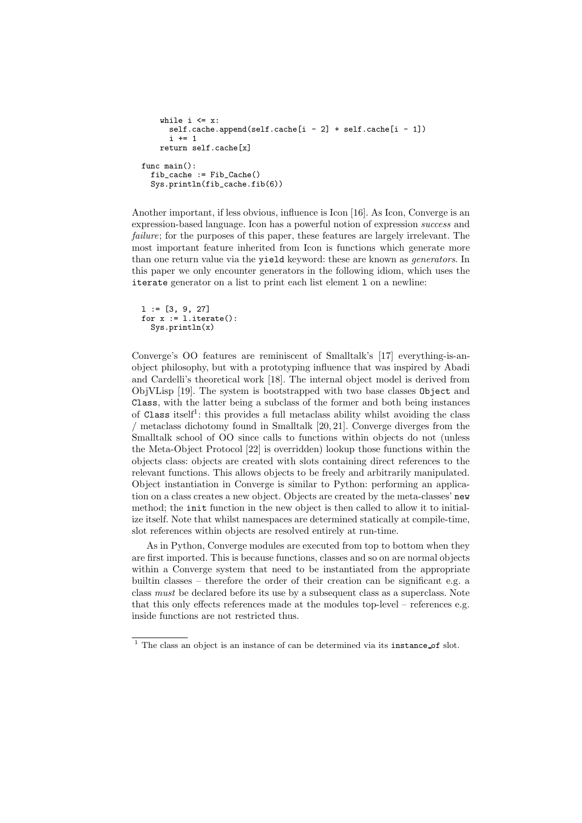```
while i \leq x:
      self.cache.append(self.cache[i - 2] + self.cache[i - 1])
      i + = 1return self.cache[x]
func main():
  fib_cache := Fib_Cache()
  Sys.println(fib_cache.fib(6))
```
Another important, if less obvious, influence is Icon [16]. As Icon, Converge is an expression-based language. Icon has a powerful notion of expression success and failure; for the purposes of this paper, these features are largely irrelevant. The most important feature inherited from Icon is functions which generate more than one return value via the yield keyword: these are known as *generators*. In this paper we only encounter generators in the following idiom, which uses the iterate generator on a list to print each list element l on a newline:

l := [3, 9, 27] for  $x := 1$ . iterate(): Sys.println(x)

Converge's OO features are reminiscent of Smalltalk's [17] everything-is-anobject philosophy, but with a prototyping influence that was inspired by Abadi and Cardelli's theoretical work [18]. The internal object model is derived from ObjVLisp [19]. The system is bootstrapped with two base classes Object and Class, with the latter being a subclass of the former and both being instances of Class itself<sup>1</sup>: this provides a full metaclass ability whilst avoiding the class / metaclass dichotomy found in Smalltalk [20, 21]. Converge diverges from the Smalltalk school of OO since calls to functions within objects do not (unless the Meta-Object Protocol [22] is overridden) lookup those functions within the objects class: objects are created with slots containing direct references to the relevant functions. This allows objects to be freely and arbitrarily manipulated. Object instantiation in Converge is similar to Python: performing an application on a class creates a new object. Objects are created by the meta-classes' new method; the init function in the new object is then called to allow it to initialize itself. Note that whilst namespaces are determined statically at compile-time, slot references within objects are resolved entirely at run-time.

As in Python, Converge modules are executed from top to bottom when they are first imported. This is because functions, classes and so on are normal objects within a Converge system that need to be instantiated from the appropriate builtin classes – therefore the order of their creation can be significant e.g. a class must be declared before its use by a subsequent class as a superclass. Note that this only effects references made at the modules top-level – references e.g. inside functions are not restricted thus.

 $<sup>1</sup>$  The class an object is an instance of can be determined via its instance of slot.</sup>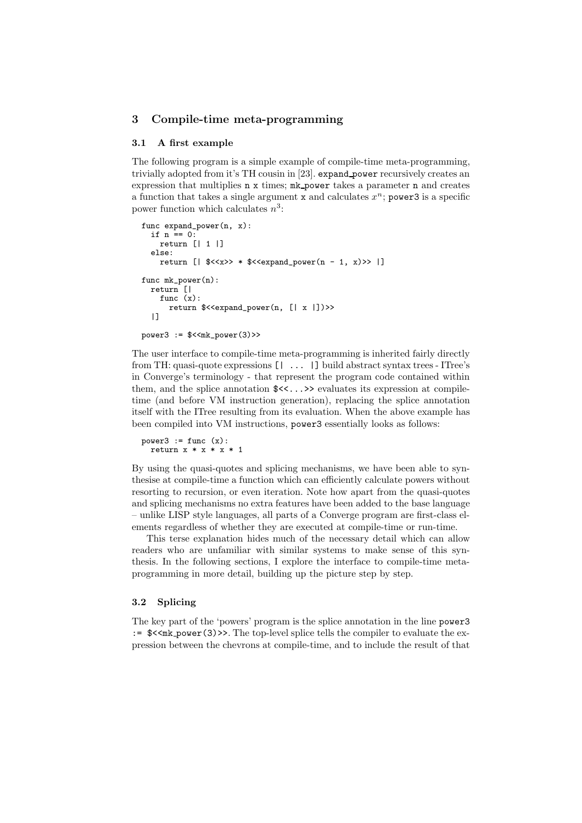# 3 Compile-time meta-programming

#### 3.1 A first example

The following program is a simple example of compile-time meta-programming, trivially adopted from it's TH cousin in [23]. expand power recursively creates an expression that multiplies n x times; mk power takes a parameter n and creates a function that takes a single argument x and calculates  $x^n$ ; power3 is a specific power function which calculates  $n^3$ :

```
func expand_power(n, x):
         if n == 0:
              return [| 1 |]
         else:
               return [| \xi \ll x \gg * \xi \ll x = \gamma = \gamma = \gamma = \gamma = \gamma = \gamma = \gamma = \gamma = \gamma = \gamma = \gamma = \gamma = \gamma = \gamma = \gamma = \gamma = \gamma = \gamma = \gamma = \gamma = \gamma = \gamma = \gamma = \gamma = \gamma = \gamma = \gamma = \gammafunc mk_power(n):
       return [|
               func (x):
                       return \frac{\sqrt{2}}{\sqrt{2}} < \frac{\sqrt{2}}{\sqrt{2}} return \frac{\sqrt{2}}{\sqrt{2}} = \frac{\sqrt{2}}{\sqrt{2}} = \frac{\sqrt{2}}{\sqrt{2}} = \frac{\sqrt{2}}{\sqrt{2}} = \frac{\sqrt{2}}{\sqrt{2}} = \frac{\sqrt{2}}{\sqrt{2}} = \frac{\sqrt{2}}{\sqrt{2}} = \frac{\sqrt{2}}{\sqrt{2}} = \frac{\sqrt{2}}{\sqrt{2}} = \frac{\sqrt{2}}{\sqrt{2}} = \frac{\sqrt|]power3 := *(<sub>mk-power</sub>(3))
```
The user interface to compile-time meta-programming is inherited fairly directly from TH: quasi-quote expressions [| ... |] build abstract syntax trees - ITree's in Converge's terminology - that represent the program code contained within them, and the splice annotation \$<<...>> evaluates its expression at compiletime (and before VM instruction generation), replacing the splice annotation itself with the ITree resulting from its evaluation. When the above example has been compiled into VM instructions, power3 essentially looks as follows:

 $power3 := func(x):$ return  $x * x * x * 1$ 

By using the quasi-quotes and splicing mechanisms, we have been able to synthesise at compile-time a function which can efficiently calculate powers without resorting to recursion, or even iteration. Note how apart from the quasi-quotes and splicing mechanisms no extra features have been added to the base language – unlike LISP style languages, all parts of a Converge program are first-class elements regardless of whether they are executed at compile-time or run-time.

This terse explanation hides much of the necessary detail which can allow readers who are unfamiliar with similar systems to make sense of this synthesis. In the following sections, I explore the interface to compile-time metaprogramming in more detail, building up the picture step by step.

#### 3.2 Splicing

The key part of the 'powers' program is the splice annotation in the line power3 :=  $$<>$ . The top-level splice tells the compiler to evaluate the expression between the chevrons at compile-time, and to include the result of that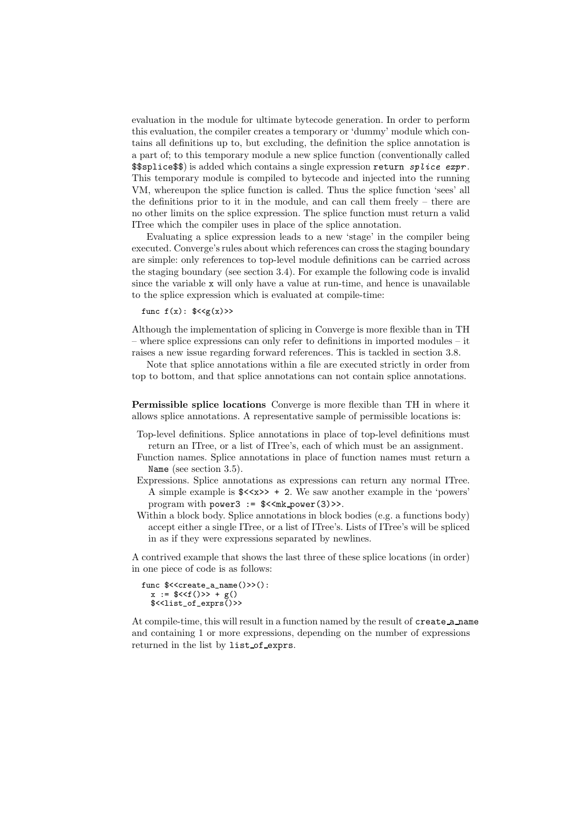evaluation in the module for ultimate bytecode generation. In order to perform this evaluation, the compiler creates a temporary or 'dummy' module which contains all definitions up to, but excluding, the definition the splice annotation is a part of; to this temporary module a new splice function (conventionally called  $$$$ splice\$\$) is added which contains a single expression return *splice expr*. This temporary module is compiled to bytecode and injected into the running VM, whereupon the splice function is called. Thus the splice function 'sees' all the definitions prior to it in the module, and can call them freely  $-$  there are no other limits on the splice expression. The splice function must return a valid ITree which the compiler uses in place of the splice annotation.

Evaluating a splice expression leads to a new 'stage' in the compiler being executed. Converge's rules about which references can cross the staging boundary are simple: only references to top-level module definitions can be carried across the staging boundary (see section 3.4). For example the following code is invalid since the variable x will only have a value at run-time, and hence is unavailable to the splice expression which is evaluated at compile-time:

```
func f(x): \xi \langle g(x) \rangle
```
Although the implementation of splicing in Converge is more flexible than in TH – where splice expressions can only refer to definitions in imported modules – it raises a new issue regarding forward references. This is tackled in section 3.8.

Note that splice annotations within a file are executed strictly in order from top to bottom, and that splice annotations can not contain splice annotations.

Permissible splice locations Converge is more flexible than TH in where it allows splice annotations. A representative sample of permissible locations is:

- Top-level definitions. Splice annotations in place of top-level definitions must return an ITree, or a list of ITree's, each of which must be an assignment.
- Function names. Splice annotations in place of function names must return a Name (see section 3.5).
- Expressions. Splice annotations as expressions can return any normal ITree. A simple example is  $\angle x \rightarrow 2$ . We saw another example in the 'powers' program with power3 :=  $\frac{\sqrt{3}}{2}$  =  $\frac{\sqrt{3}}{2}$ .
- Within a block body. Splice annotations in block bodies (e.g. a functions body) accept either a single ITree, or a list of ITree's. Lists of ITree's will be spliced in as if they were expressions separated by newlines.

A contrived example that shows the last three of these splice locations (in order) in one piece of code is as follows:

```
func $<<create_a_name()>>():
 x := $<<f()>> + g()$<<list_of_exprs()>>
```
At compile-time, this will result in a function named by the result of create a name and containing 1 or more expressions, depending on the number of expressions returned in the list by list of exprs.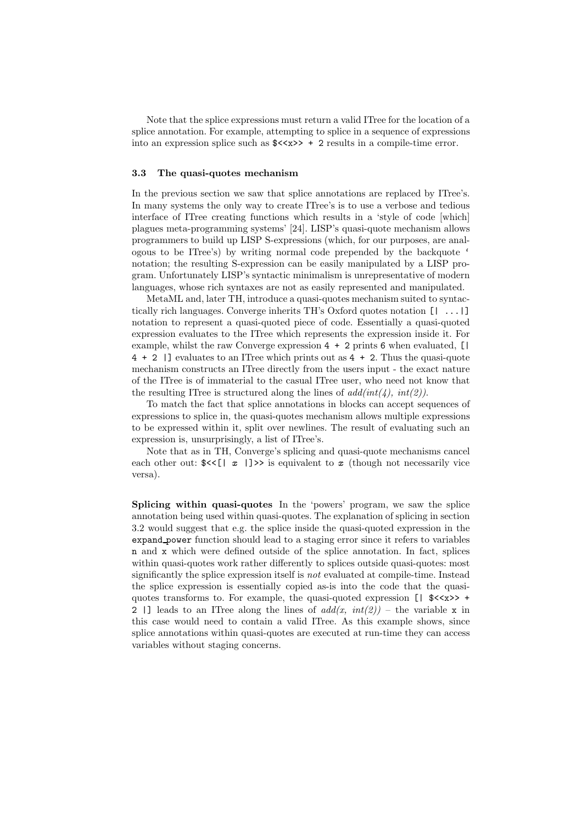Note that the splice expressions must return a valid ITree for the location of a splice annotation. For example, attempting to splice in a sequence of expressions into an expression splice such as  $\xi \langle x \rangle > + 2$  results in a compile-time error.

### 3.3 The quasi-quotes mechanism

In the previous section we saw that splice annotations are replaced by ITree's. In many systems the only way to create ITree's is to use a verbose and tedious interface of ITree creating functions which results in a 'style of code [which] plagues meta-programming systems' [24]. LISP's quasi-quote mechanism allows programmers to build up LISP S-expressions (which, for our purposes, are analogous to be ITree's) by writing normal code prepended by the backquote ' notation; the resulting S-expression can be easily manipulated by a LISP program. Unfortunately LISP's syntactic minimalism is unrepresentative of modern languages, whose rich syntaxes are not as easily represented and manipulated.

MetaML and, later TH, introduce a quasi-quotes mechanism suited to syntactically rich languages. Converge inherits TH's Oxford quotes notation [| ...|] notation to represent a quasi-quoted piece of code. Essentially a quasi-quoted expression evaluates to the ITree which represents the expression inside it. For example, whilst the raw Converge expression 4 + 2 prints 6 when evaluated, [| 4 + 2 |] evaluates to an ITree which prints out as 4 + 2. Thus the quasi-quote mechanism constructs an ITree directly from the users input - the exact nature of the ITree is of immaterial to the casual ITree user, who need not know that the resulting ITree is structured along the lines of  $add(int(4), int(2))$ .

To match the fact that splice annotations in blocks can accept sequences of expressions to splice in, the quasi-quotes mechanism allows multiple expressions to be expressed within it, split over newlines. The result of evaluating such an expression is, unsurprisingly, a list of ITree's.

Note that as in TH, Converge's splicing and quasi-quote mechanisms cancel each other out:  $\< [x] \< [x]$  =  $\>$  is equivalent to  $x$  (though not necessarily vice versa).

Splicing within quasi-quotes In the 'powers' program, we saw the splice annotation being used within quasi-quotes. The explanation of splicing in section 3.2 would suggest that e.g. the splice inside the quasi-quoted expression in the expand power function should lead to a staging error since it refers to variables n and x which were defined outside of the splice annotation. In fact, splices within quasi-quotes work rather differently to splices outside quasi-quotes: most significantly the splice expression itself is not evaluated at compile-time. Instead the splice expression is essentially copied as-is into the code that the quasiquotes transforms to. For example, the quasi-quoted expression  $[ \ ]$  \$<<x>> + 2 |] leads to an ITree along the lines of  $add(x, int(2))$  – the variable x in this case would need to contain a valid ITree. As this example shows, since splice annotations within quasi-quotes are executed at run-time they can access variables without staging concerns.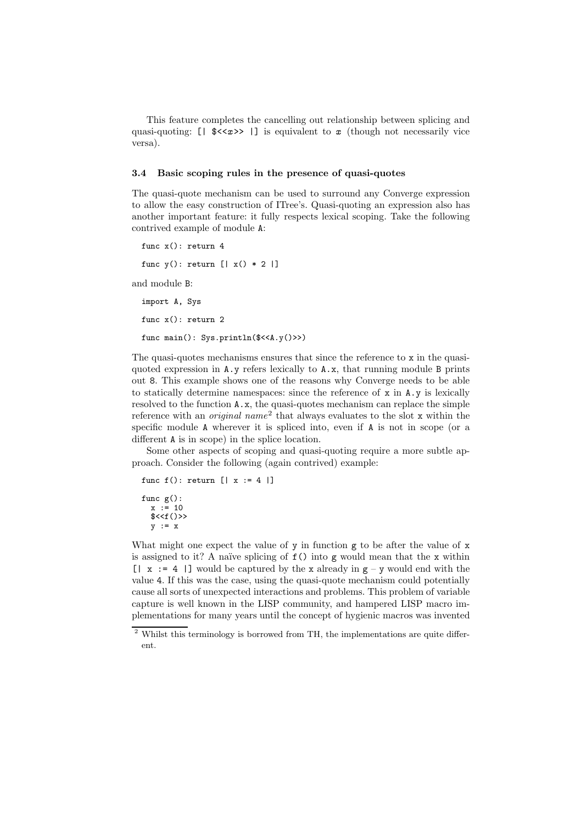This feature completes the cancelling out relationship between splicing and quasi-quoting:  $[ \ ]$  \$<< $x$ >> $\rightarrow$   $]$  is equivalent to x (though not necessarily vice versa).

#### 3.4 Basic scoping rules in the presence of quasi-quotes

The quasi-quote mechanism can be used to surround any Converge expression to allow the easy construction of ITree's. Quasi-quoting an expression also has another important feature: it fully respects lexical scoping. Take the following contrived example of module A:

```
func x(): return 4
  func y(): return [|x() * 2|]and module B:
  import A, Sys
```

```
func x(): return 2
func main(): Sys.println($<<A.y()>>)
```
The quasi-quotes mechanisms ensures that since the reference to x in the quasiquoted expression in A.y refers lexically to A.x, that running module B prints out 8. This example shows one of the reasons why Converge needs to be able to statically determine namespaces: since the reference of x in A.y is lexically resolved to the function A.x, the quasi-quotes mechanism can replace the simple reference with an *original* name<sup>2</sup> that always evaluates to the slot x within the specific module A wherever it is spliced into, even if A is not in scope (or a different A is in scope) in the splice location.

Some other aspects of scoping and quasi-quoting require a more subtle approach. Consider the following (again contrived) example:

```
func f(): return [ | x := 4 | ]func g():
 x := 10$<<f()>>
 y := x
```
What might one expect the value of  $y$  in function  $g$  to be after the value of  $x$ is assigned to it? A naïve splicing of  $f()$  into g would mean that the x within  $[ \ ] x := 4 ]$  would be captured by the x already in  $g - y$  would end with the value 4. If this was the case, using the quasi-quote mechanism could potentially cause all sorts of unexpected interactions and problems. This problem of variable capture is well known in the LISP community, and hampered LISP macro implementations for many years until the concept of hygienic macros was invented

<sup>2</sup> Whilst this terminology is borrowed from TH, the implementations are quite different.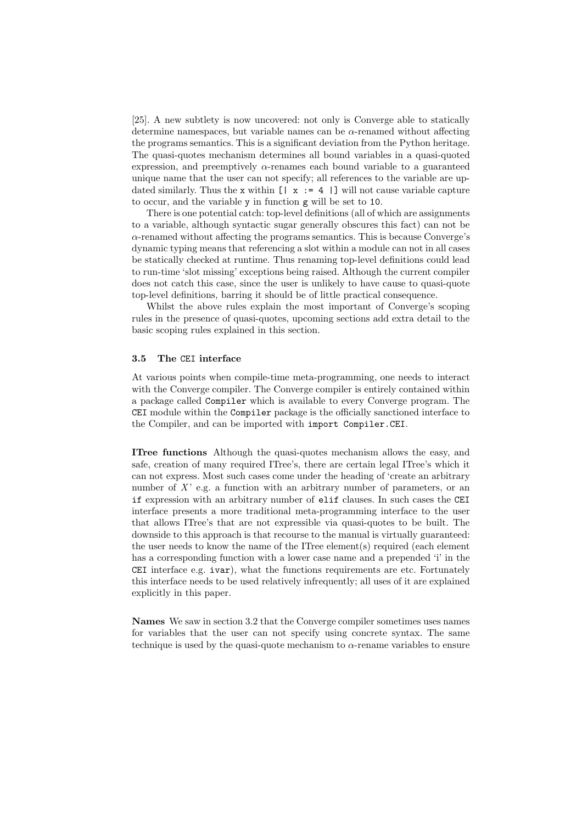[25]. A new subtlety is now uncovered: not only is Converge able to statically determine namespaces, but variable names can be  $\alpha$ -renamed without affecting the programs semantics. This is a significant deviation from the Python heritage. The quasi-quotes mechanism determines all bound variables in a quasi-quoted expression, and preemptively  $\alpha$ -renames each bound variable to a guaranteed unique name that the user can not specify; all references to the variable are updated similarly. Thus the x within  $[ \ ] x := 4 ]$  will not cause variable capture to occur, and the variable y in function g will be set to 10.

There is one potential catch: top-level definitions (all of which are assignments to a variable, although syntactic sugar generally obscures this fact) can not be α-renamed without affecting the programs semantics. This is because Converge's dynamic typing means that referencing a slot within a module can not in all cases be statically checked at runtime. Thus renaming top-level definitions could lead to run-time 'slot missing' exceptions being raised. Although the current compiler does not catch this case, since the user is unlikely to have cause to quasi-quote top-level definitions, barring it should be of little practical consequence.

Whilst the above rules explain the most important of Converge's scoping rules in the presence of quasi-quotes, upcoming sections add extra detail to the basic scoping rules explained in this section.

#### 3.5 The CEI interface

At various points when compile-time meta-programming, one needs to interact with the Converge compiler. The Converge compiler is entirely contained within a package called Compiler which is available to every Converge program. The CEI module within the Compiler package is the officially sanctioned interface to the Compiler, and can be imported with import Compiler.CEI.

ITree functions Although the quasi-quotes mechanism allows the easy, and safe, creation of many required ITree's, there are certain legal ITree's which it can not express. Most such cases come under the heading of 'create an arbitrary number of  $X'$  e.g. a function with an arbitrary number of parameters, or an if expression with an arbitrary number of elif clauses. In such cases the CEI interface presents a more traditional meta-programming interface to the user that allows ITree's that are not expressible via quasi-quotes to be built. The downside to this approach is that recourse to the manual is virtually guaranteed: the user needs to know the name of the ITree element(s) required (each element has a corresponding function with a lower case name and a prepended 'i' in the CEI interface e.g. ivar), what the functions requirements are etc. Fortunately this interface needs to be used relatively infrequently; all uses of it are explained explicitly in this paper.

Names We saw in section 3.2 that the Converge compiler sometimes uses names for variables that the user can not specify using concrete syntax. The same technique is used by the quasi-quote mechanism to  $\alpha$ -rename variables to ensure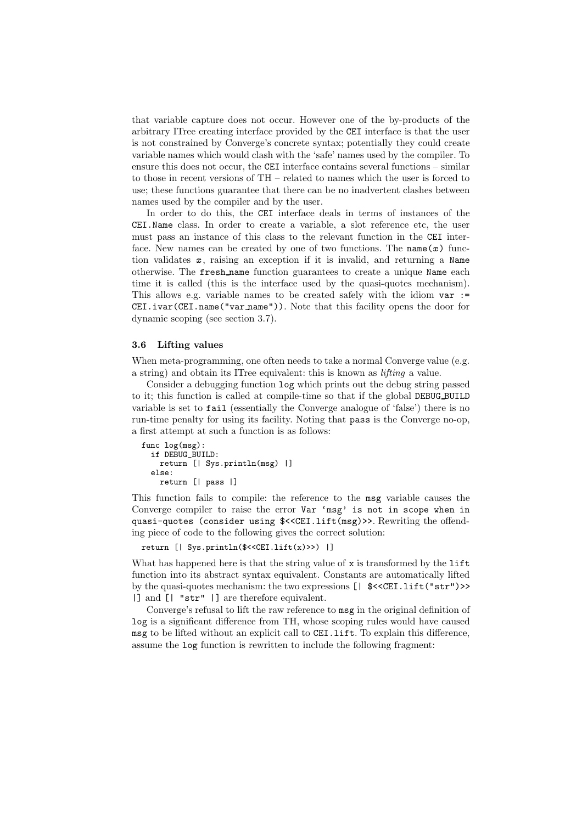that variable capture does not occur. However one of the by-products of the arbitrary ITree creating interface provided by the CEI interface is that the user is not constrained by Converge's concrete syntax; potentially they could create variable names which would clash with the 'safe' names used by the compiler. To ensure this does not occur, the CEI interface contains several functions – similar to those in recent versions of TH – related to names which the user is forced to use; these functions guarantee that there can be no inadvertent clashes between names used by the compiler and by the user.

In order to do this, the CEI interface deals in terms of instances of the CEI.Name class. In order to create a variable, a slot reference etc, the user must pass an instance of this class to the relevant function in the CEI interface. New names can be created by one of two functions. The name $(x)$  function validates  $x$ , raising an exception if it is invalid, and returning a Name otherwise. The fresh name function guarantees to create a unique Name each time it is called (this is the interface used by the quasi-quotes mechanism). This allows e.g. variable names to be created safely with the idiom  $var :=$ CEI.ivar(CEI.name("var name")). Note that this facility opens the door for dynamic scoping (see section 3.7).

#### 3.6 Lifting values

When meta-programming, one often needs to take a normal Converge value (e.g. a string) and obtain its ITree equivalent: this is known as lifting a value.

Consider a debugging function log which prints out the debug string passed to it; this function is called at compile-time so that if the global DEBUG BUILD variable is set to fail (essentially the Converge analogue of 'false') there is no run-time penalty for using its facility. Noting that pass is the Converge no-op, a first attempt at such a function is as follows:

```
func log(msg):
  if DEBUG_BUILD:
    return [| Sys.println(msg) |]
  else:
    return [| pass |]
```
This function fails to compile: the reference to the msg variable causes the Converge compiler to raise the error Var 'msg' is not in scope when in quasi-quotes (consider using \$<<CEI.lift(msg)>>. Rewriting the offending piece of code to the following gives the correct solution:

```
return [| Sys.println($<<CEI.lift(x)>>) |]
```
What has happened here is that the string value of x is transformed by the lift function into its abstract syntax equivalent. Constants are automatically lifted by the quasi-quotes mechanism: the two expressions [| \$<<CEI.lift("str")>> |] and [| "str" |] are therefore equivalent.

Converge's refusal to lift the raw reference to msg in the original definition of log is a significant difference from TH, whose scoping rules would have caused msg to be lifted without an explicit call to CEI.lift. To explain this difference, assume the log function is rewritten to include the following fragment: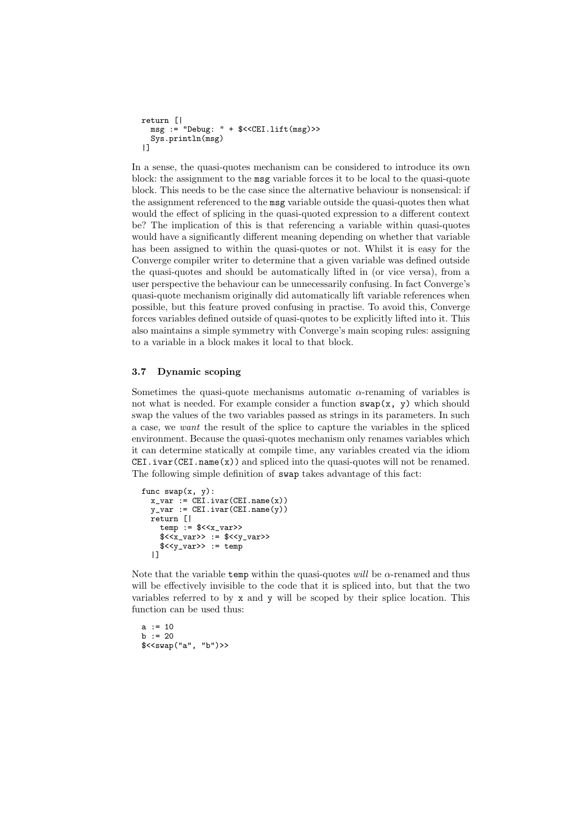```
return [|
 msg := "Debug: " + $<<CEIuiff(msg)Sys.println(msg)
|]
```
In a sense, the quasi-quotes mechanism can be considered to introduce its own block: the assignment to the msg variable forces it to be local to the quasi-quote block. This needs to be the case since the alternative behaviour is nonsensical: if the assignment referenced to the msg variable outside the quasi-quotes then what would the effect of splicing in the quasi-quoted expression to a different context be? The implication of this is that referencing a variable within quasi-quotes would have a significantly different meaning depending on whether that variable has been assigned to within the quasi-quotes or not. Whilst it is easy for the Converge compiler writer to determine that a given variable was defined outside the quasi-quotes and should be automatically lifted in (or vice versa), from a user perspective the behaviour can be unnecessarily confusing. In fact Converge's quasi-quote mechanism originally did automatically lift variable references when possible, but this feature proved confusing in practise. To avoid this, Converge forces variables defined outside of quasi-quotes to be explicitly lifted into it. This also maintains a simple symmetry with Converge's main scoping rules: assigning to a variable in a block makes it local to that block.

## 3.7 Dynamic scoping

Sometimes the quasi-quote mechanisms automatic  $\alpha$ -renaming of variables is not what is needed. For example consider a function  $\exp(x, y)$  which should swap the values of the two variables passed as strings in its parameters. In such a case, we want the result of the splice to capture the variables in the spliced environment. Because the quasi-quotes mechanism only renames variables which it can determine statically at compile time, any variables created via the idiom CEI.ivar(CEI.name $(x)$ ) and spliced into the quasi-quotes will not be renamed. The following simple definition of swap takes advantage of this fact:

```
func swap(x, y):
  x_{\text{var}} := \text{CEI}.\text{ivar}(\text{CEI}.\text{name}(x))y_{\text{v}} = CEI.ivar(CEI.name(y))return [|
     temp := *(<x_var>>\xi << x_1 \varphi := \xi << y_1 \varphi = \xi\sqrt{$<y_var>> :}= temp
   |]
```
Note that the variable temp within the quasi-quotes will be  $\alpha$ -renamed and thus will be effectively invisible to the code that it is spliced into, but that the two variables referred to by x and y will be scoped by their splice location. This function can be used thus:

```
a := 10b := 20$<<swap("a", "b")>>
```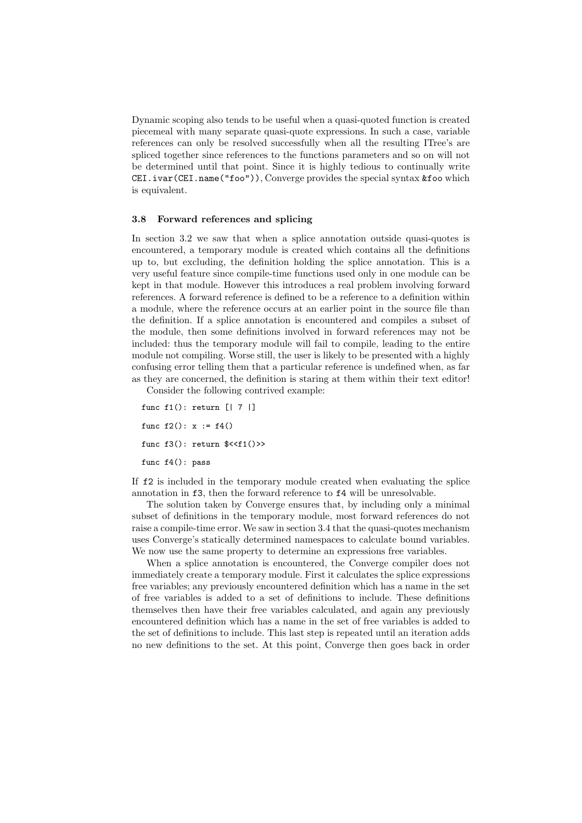Dynamic scoping also tends to be useful when a quasi-quoted function is created piecemeal with many separate quasi-quote expressions. In such a case, variable references can only be resolved successfully when all the resulting ITree's are spliced together since references to the functions parameters and so on will not be determined until that point. Since it is highly tedious to continually write CEI.ivar(CEI.name("foo")), Converge provides the special syntax &foo which is equivalent.

#### 3.8 Forward references and splicing

In section 3.2 we saw that when a splice annotation outside quasi-quotes is encountered, a temporary module is created which contains all the definitions up to, but excluding, the definition holding the splice annotation. This is a very useful feature since compile-time functions used only in one module can be kept in that module. However this introduces a real problem involving forward references. A forward reference is defined to be a reference to a definition within a module, where the reference occurs at an earlier point in the source file than the definition. If a splice annotation is encountered and compiles a subset of the module, then some definitions involved in forward references may not be included: thus the temporary module will fail to compile, leading to the entire module not compiling. Worse still, the user is likely to be presented with a highly confusing error telling them that a particular reference is undefined when, as far as they are concerned, the definition is staring at them within their text editor!

Consider the following contrived example:

func f1(): return [| 7 |] func  $f(2)$ :  $x := f(4)$ func f3(): return \$<<f1()>> func f4(): pass

If f2 is included in the temporary module created when evaluating the splice annotation in f3, then the forward reference to f4 will be unresolvable.

The solution taken by Converge ensures that, by including only a minimal subset of definitions in the temporary module, most forward references do not raise a compile-time error. We saw in section 3.4 that the quasi-quotes mechanism uses Converge's statically determined namespaces to calculate bound variables. We now use the same property to determine an expressions free variables.

When a splice annotation is encountered, the Converge compiler does not immediately create a temporary module. First it calculates the splice expressions free variables; any previously encountered definition which has a name in the set of free variables is added to a set of definitions to include. These definitions themselves then have their free variables calculated, and again any previously encountered definition which has a name in the set of free variables is added to the set of definitions to include. This last step is repeated until an iteration adds no new definitions to the set. At this point, Converge then goes back in order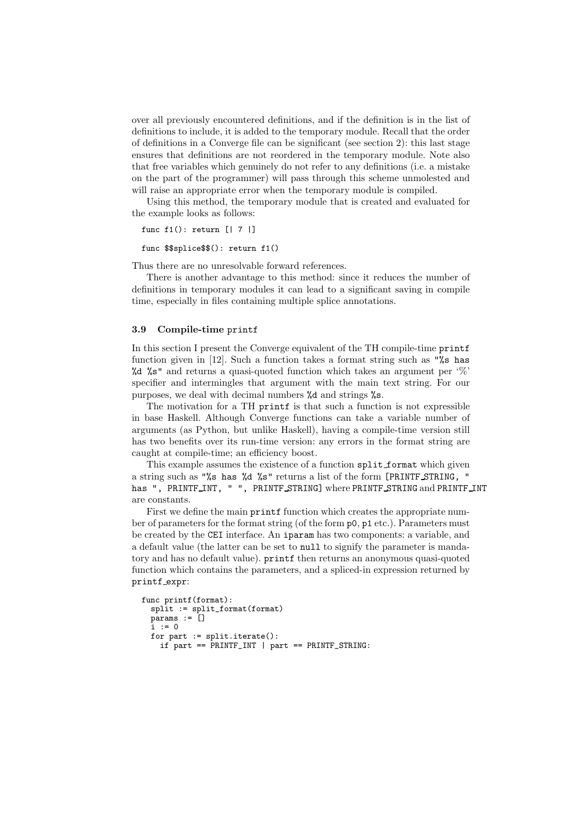over all previously encountered definitions, and if the definition is in the list of definitions to include, it is added to the temporary module. Recall that the order of definitions in a Converge file can be significant (see section 2): this last stage ensures that definitions are not reordered in the temporary module. Note also that free variables which genuinely do not refer to any definitions (i.e. a mistake on the part of the programmer) will pass through this scheme unmolested and will raise an appropriate error when the temporary module is compiled.

Using this method, the temporary module that is created and evaluated for the example looks as follows:

```
func f1(): return [| 7 |]
```
func \$\$splice\$\$(): return f1()

Thus there are no unresolvable forward references.

There is another advantage to this method: since it reduces the number of definitions in temporary modules it can lead to a significant saving in compile time, especially in files containing multiple splice annotations.

#### 3.9 Compile-time printf

In this section I present the Converge equivalent of the TH compile-time printf function given in [12]. Such a function takes a format string such as "%s has %d %s" and returns a quasi-quoted function which takes an argument per  $\mathcal{C}'$ specifier and intermingles that argument with the main text string. For our purposes, we deal with decimal numbers %d and strings %s.

The motivation for a TH printf is that such a function is not expressible in base Haskell. Although Converge functions can take a variable number of arguments (as Python, but unlike Haskell), having a compile-time version still has two benefits over its run-time version: any errors in the format string are caught at compile-time; an efficiency boost.

This example assumes the existence of a function split format which given a string such as "%s has %d %s" returns a list of the form [PRINTF STRING, " has ", PRINTF\_INT, " ", PRINTF\_STRING] where PRINTF\_STRING and PRINTF\_INT are constants.

First we define the main printf function which creates the appropriate number of parameters for the format string (of the form p0, p1 etc.). Parameters must be created by the CEI interface. An iparam has two components: a variable, and a default value (the latter can be set to null to signify the parameter is mandatory and has no default value). printf then returns an anonymous quasi-quoted function which contains the parameters, and a spliced-in expression returned by printf expr:

```
func printf(format):
 split := split_format(format)
 params := []
  i := 0for part := split.iterate():
   if part == PRINTF_INT | part == PRINTF_STRING:
```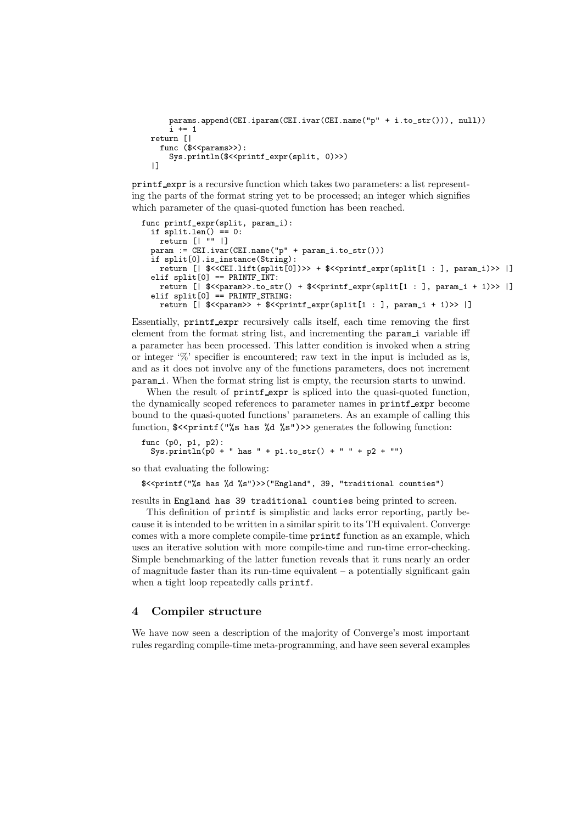```
params.append(CEI.iparam(CEI.ivar(CEI.name("p" + i.to_str())), null))
    \frac{1}{1} += 1
return [|
  func ($<<params>>):
    Sys.println($<<printf_expr(split, 0)>>)
|]
```
printf expr is a recursive function which takes two parameters: a list representing the parts of the format string yet to be processed; an integer which signifies which parameter of the quasi-quoted function has been reached.

```
func printf_expr(split, param_i):
  if split.length() == 0:
    return [| "" |]
  param := CEI.ivar(CEI.name("p" + param_i.to_str()))
  if split[0].is_instance(String):
    return [| $<<CEI.lift(split[0])>> + $<<printf_expr(split[1 : ], param_i)>> |]elif split[0] == PRINTF INT:
    return [| $<<param>>.to_str() + $<<printf_expr(split[1 : ], param_i + 1)>> |]elif split[0] = PRINTF STRING:
    return [| \sqrt{$p$-transr} > + \sqrt{$p$-limit} \exp(\sqrt{p} 1 \cdot 1; 1, \sqrt{p} 1)
```
Essentially, printf expr recursively calls itself, each time removing the first element from the format string list, and incrementing the param<sub>i</sub> variable iff a parameter has been processed. This latter condition is invoked when a string or integer  $\mathcal{C}'$  specifier is encountered; raw text in the input is included as is, and as it does not involve any of the functions parameters, does not increment param i. When the format string list is empty, the recursion starts to unwind.

When the result of **printf-expr** is spliced into the quasi-quoted function, the dynamically scoped references to parameter names in printf expr become bound to the quasi-quoted functions' parameters. As an example of calling this function,  $\xi$ <<printf("%s has %d %s")>> generates the following function:

```
func (p0, p1, p2):
 Sys.println(p0 + " has " + p1.to_str() + " " + p2 + "")
```
so that evaluating the following:

\$<<printf("%s has %d %s")>>("England", 39, "traditional counties")

results in England has 39 traditional counties being printed to screen.

This definition of printf is simplistic and lacks error reporting, partly because it is intended to be written in a similar spirit to its TH equivalent. Converge comes with a more complete compile-time printf function as an example, which uses an iterative solution with more compile-time and run-time error-checking. Simple benchmarking of the latter function reveals that it runs nearly an order of magnitude faster than its run-time equivalent  $-$  a potentially significant gain when a tight loop repeatedly calls printf.

# 4 Compiler structure

We have now seen a description of the majority of Converge's most important rules regarding compile-time meta-programming, and have seen several examples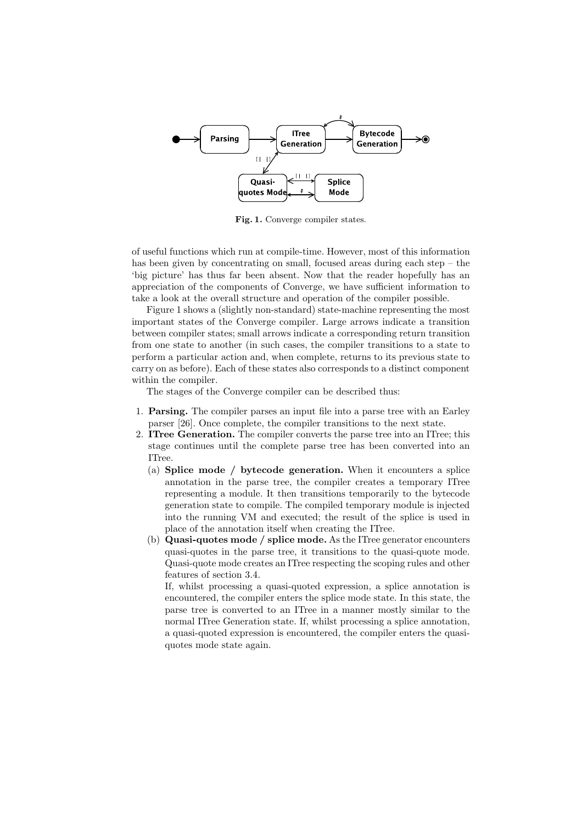

Fig. 1. Converge compiler states.

of useful functions which run at compile-time. However, most of this information has been given by concentrating on small, focused areas during each step – the 'big picture' has thus far been absent. Now that the reader hopefully has an appreciation of the components of Converge, we have sufficient information to take a look at the overall structure and operation of the compiler possible.

Figure 1 shows a (slightly non-standard) state-machine representing the most important states of the Converge compiler. Large arrows indicate a transition between compiler states; small arrows indicate a corresponding return transition from one state to another (in such cases, the compiler transitions to a state to perform a particular action and, when complete, returns to its previous state to carry on as before). Each of these states also corresponds to a distinct component within the compiler.

The stages of the Converge compiler can be described thus:

- 1. Parsing. The compiler parses an input file into a parse tree with an Earley parser [26]. Once complete, the compiler transitions to the next state.
- 2. ITree Generation. The compiler converts the parse tree into an ITree; this stage continues until the complete parse tree has been converted into an ITree.
	- (a) Splice mode / bytecode generation. When it encounters a splice annotation in the parse tree, the compiler creates a temporary ITree representing a module. It then transitions temporarily to the bytecode generation state to compile. The compiled temporary module is injected into the running VM and executed; the result of the splice is used in place of the annotation itself when creating the ITree.
	- (b) Quasi-quotes mode / splice mode. As the ITree generator encounters quasi-quotes in the parse tree, it transitions to the quasi-quote mode. Quasi-quote mode creates an ITree respecting the scoping rules and other features of section 3.4.

If, whilst processing a quasi-quoted expression, a splice annotation is encountered, the compiler enters the splice mode state. In this state, the parse tree is converted to an ITree in a manner mostly similar to the normal ITree Generation state. If, whilst processing a splice annotation, a quasi-quoted expression is encountered, the compiler enters the quasiquotes mode state again.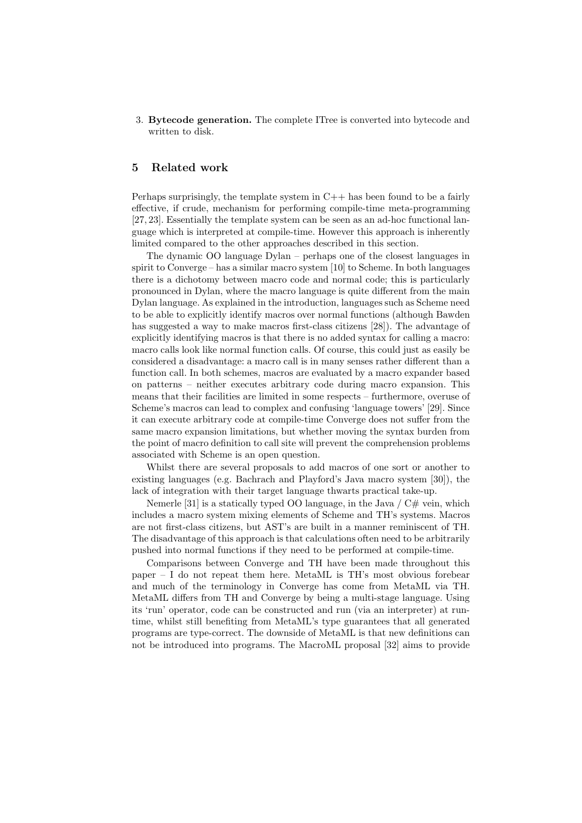3. Bytecode generation. The complete ITree is converted into bytecode and written to disk.

# 5 Related work

Perhaps surprisingly, the template system in  $C_{++}$  has been found to be a fairly effective, if crude, mechanism for performing compile-time meta-programming [27, 23]. Essentially the template system can be seen as an ad-hoc functional language which is interpreted at compile-time. However this approach is inherently limited compared to the other approaches described in this section.

The dynamic OO language Dylan – perhaps one of the closest languages in spirit to Converge – has a similar macro system [10] to Scheme. In both languages there is a dichotomy between macro code and normal code; this is particularly pronounced in Dylan, where the macro language is quite different from the main Dylan language. As explained in the introduction, languages such as Scheme need to be able to explicitly identify macros over normal functions (although Bawden has suggested a way to make macros first-class citizens [28]). The advantage of explicitly identifying macros is that there is no added syntax for calling a macro: macro calls look like normal function calls. Of course, this could just as easily be considered a disadvantage: a macro call is in many senses rather different than a function call. In both schemes, macros are evaluated by a macro expander based on patterns – neither executes arbitrary code during macro expansion. This means that their facilities are limited in some respects – furthermore, overuse of Scheme's macros can lead to complex and confusing 'language towers' [29]. Since it can execute arbitrary code at compile-time Converge does not suffer from the same macro expansion limitations, but whether moving the syntax burden from the point of macro definition to call site will prevent the comprehension problems associated with Scheme is an open question.

Whilst there are several proposals to add macros of one sort or another to existing languages (e.g. Bachrach and Playford's Java macro system [30]), the lack of integration with their target language thwarts practical take-up.

Nemerle [31] is a statically typed OO language, in the Java  $\angle$  C# vein, which includes a macro system mixing elements of Scheme and TH's systems. Macros are not first-class citizens, but AST's are built in a manner reminiscent of TH. The disadvantage of this approach is that calculations often need to be arbitrarily pushed into normal functions if they need to be performed at compile-time.

Comparisons between Converge and TH have been made throughout this paper – I do not repeat them here. MetaML is TH's most obvious forebear and much of the terminology in Converge has come from MetaML via TH. MetaML differs from TH and Converge by being a multi-stage language. Using its 'run' operator, code can be constructed and run (via an interpreter) at runtime, whilst still benefiting from MetaML's type guarantees that all generated programs are type-correct. The downside of MetaML is that new definitions can not be introduced into programs. The MacroML proposal [32] aims to provide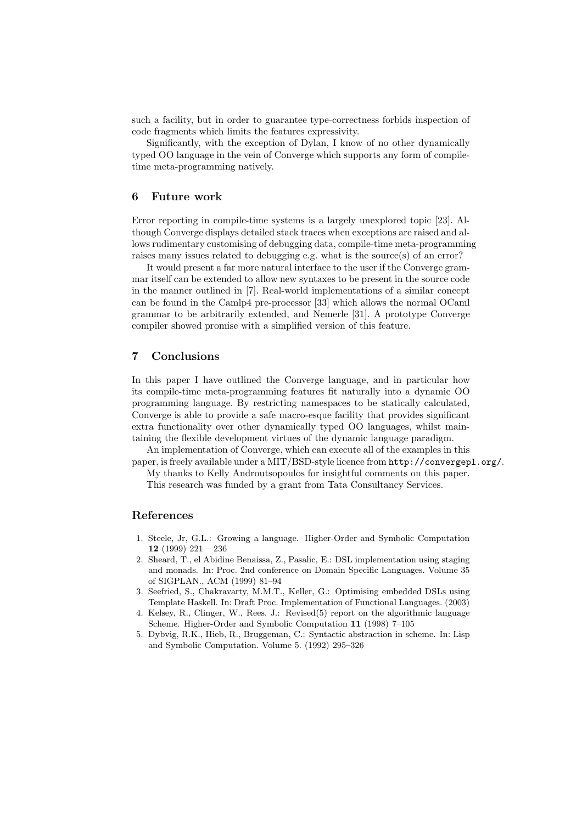such a facility, but in order to guarantee type-correctness forbids inspection of code fragments which limits the features expressivity.

Significantly, with the exception of Dylan, I know of no other dynamically typed OO language in the vein of Converge which supports any form of compiletime meta-programming natively.

# 6 Future work

Error reporting in compile-time systems is a largely unexplored topic [23]. Although Converge displays detailed stack traces when exceptions are raised and allows rudimentary customising of debugging data, compile-time meta-programming raises many issues related to debugging e.g. what is the source(s) of an error?

It would present a far more natural interface to the user if the Converge grammar itself can be extended to allow new syntaxes to be present in the source code in the manner outlined in [7]. Real-world implementations of a similar concept can be found in the Camlp4 pre-processor [33] which allows the normal OCaml grammar to be arbitrarily extended, and Nemerle [31]. A prototype Converge compiler showed promise with a simplified version of this feature.

## 7 Conclusions

In this paper I have outlined the Converge language, and in particular how its compile-time meta-programming features fit naturally into a dynamic OO programming language. By restricting namespaces to be statically calculated, Converge is able to provide a safe macro-esque facility that provides significant extra functionality over other dynamically typed OO languages, whilst maintaining the flexible development virtues of the dynamic language paradigm.

An implementation of Converge, which can execute all of the examples in this paper, is freely available under a MIT/BSD-style licence from http://convergepl.org/.

My thanks to Kelly Androutsopoulos for insightful comments on this paper.

This research was funded by a grant from Tata Consultancy Services.

## References

- 1. Steele, Jr, G.L.: Growing a language. Higher-Order and Symbolic Computation 12 (1999) 221 – 236
- 2. Sheard, T., el Abidine Benaissa, Z., Pasalic, E.: DSL implementation using staging and monads. In: Proc. 2nd conference on Domain Specific Languages. Volume 35 of SIGPLAN., ACM (1999) 81–94
- 3. Seefried, S., Chakravarty, M.M.T., Keller, G.: Optimising embedded DSLs using Template Haskell. In: Draft Proc. Implementation of Functional Languages. (2003)
- 4. Kelsey, R., Clinger, W., Rees, J.: Revised(5) report on the algorithmic language Scheme. Higher-Order and Symbolic Computation 11 (1998) 7–105
- 5. Dybvig, R.K., Hieb, R., Bruggeman, C.: Syntactic abstraction in scheme. In: Lisp and Symbolic Computation. Volume 5. (1992) 295–326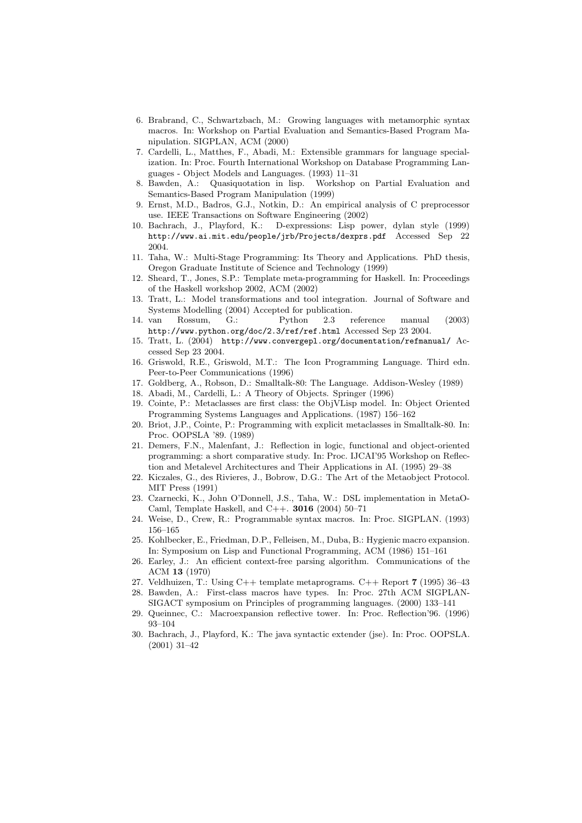- 6. Brabrand, C., Schwartzbach, M.: Growing languages with metamorphic syntax macros. In: Workshop on Partial Evaluation and Semantics-Based Program Manipulation. SIGPLAN, ACM (2000)
- 7. Cardelli, L., Matthes, F., Abadi, M.: Extensible grammars for language specialization. In: Proc. Fourth International Workshop on Database Programming Languages - Object Models and Languages. (1993) 11–31
- 8. Bawden, A.: Quasiquotation in lisp. Workshop on Partial Evaluation and Semantics-Based Program Manipulation (1999)
- 9. Ernst, M.D., Badros, G.J., Notkin, D.: An empirical analysis of C preprocessor use. IEEE Transactions on Software Engineering (2002)
- 10. Bachrach, J., Playford, K.: D-expressions: Lisp power, dylan style (1999) http://www.ai.mit.edu/people/jrb/Projects/dexprs.pdf Accessed Sep 22 2004.
- 11. Taha, W.: Multi-Stage Programming: Its Theory and Applications. PhD thesis, Oregon Graduate Institute of Science and Technology (1999)
- 12. Sheard, T., Jones, S.P.: Template meta-programming for Haskell. In: Proceedings of the Haskell workshop 2002, ACM (2002)
- 13. Tratt, L.: Model transformations and tool integration. Journal of Software and Systems Modelling (2004) Accepted for publication.
- 14. van Rossum, G.: Python 2.3 reference manual (2003) http://www.python.org/doc/2.3/ref/ref.html Accessed Sep 23 2004.
- 15. Tratt, L. (2004) http://www.convergepl.org/documentation/refmanual/ Accessed Sep 23 2004.
- 16. Griswold, R.E., Griswold, M.T.: The Icon Programming Language. Third edn. Peer-to-Peer Communications (1996)
- 17. Goldberg, A., Robson, D.: Smalltalk-80: The Language. Addison-Wesley (1989)
- 18. Abadi, M., Cardelli, L.: A Theory of Objects. Springer (1996)
- 19. Cointe, P.: Metaclasses are first class: the ObjVLisp model. In: Object Oriented Programming Systems Languages and Applications. (1987) 156–162
- 20. Briot, J.P., Cointe, P.: Programming with explicit metaclasses in Smalltalk-80. In: Proc. OOPSLA '89. (1989)
- 21. Demers, F.N., Malenfant, J.: Reflection in logic, functional and object-oriented programming: a short comparative study. In: Proc. IJCAI'95 Workshop on Reflection and Metalevel Architectures and Their Applications in AI. (1995) 29–38
- 22. Kiczales, G., des Rivieres, J., Bobrow, D.G.: The Art of the Metaobject Protocol. MIT Press (1991)
- 23. Czarnecki, K., John O'Donnell, J.S., Taha, W.: DSL implementation in MetaO-Caml, Template Haskell, and C++.  $3016$  (2004) 50-71
- 24. Weise, D., Crew, R.: Programmable syntax macros. In: Proc. SIGPLAN. (1993) 156–165
- 25. Kohlbecker, E., Friedman, D.P., Felleisen, M., Duba, B.: Hygienic macro expansion. In: Symposium on Lisp and Functional Programming, ACM (1986) 151–161
- 26. Earley, J.: An efficient context-free parsing algorithm. Communications of the ACM 13 (1970)
- 27. Veldhuizen, T.: Using C++ template metaprograms. C++ Report 7 (1995) 36–43
- 28. Bawden, A.: First-class macros have types. In: Proc. 27th ACM SIGPLAN-SIGACT symposium on Principles of programming languages. (2000) 133–141
- 29. Queinnec, C.: Macroexpansion reflective tower. In: Proc. Reflection'96. (1996) 93–104
- 30. Bachrach, J., Playford, K.: The java syntactic extender (jse). In: Proc. OOPSLA. (2001) 31–42